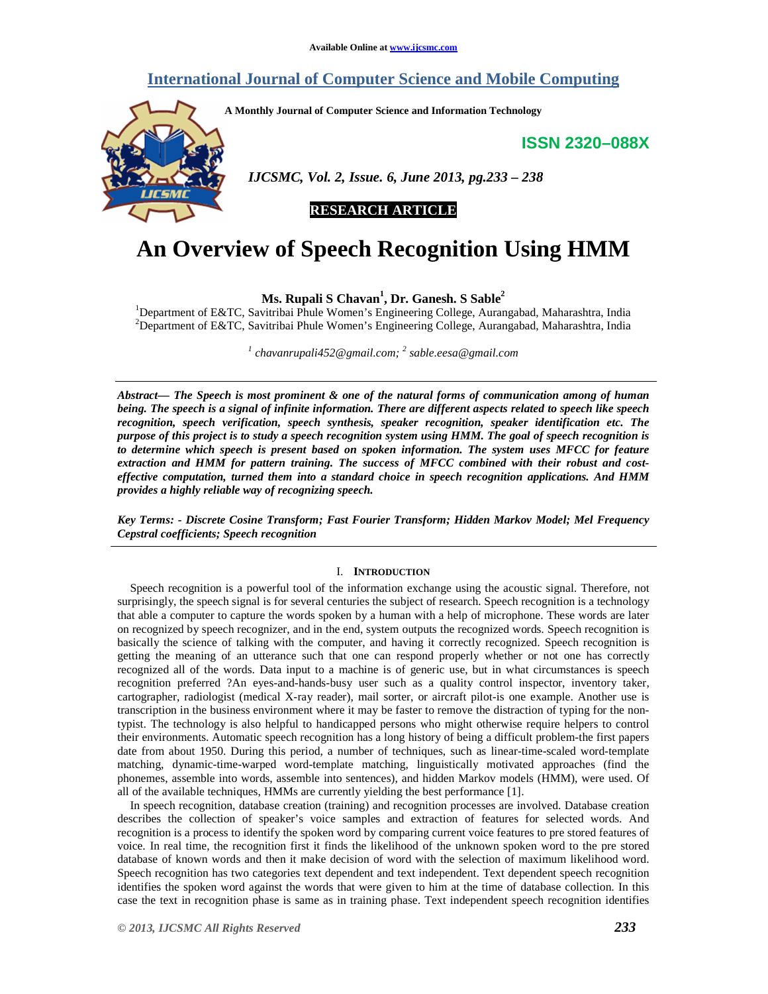# **International Journal of Computer Science and Mobile Computing**

**A Monthly Journal of Computer Science and Information Technology** 

**ISSN 2320–088X**



 *IJCSMC, Vol. 2, Issue. 6, June 2013, pg.233 – 238* 

# **RESEARCH ARTICLE**

# **An Overview of Speech Recognition Using HMM**

**Ms. Rupali S Chavan<sup>1</sup> , Dr. Ganesh. S Sable<sup>2</sup>**

<sup>1</sup>Department of E&TC, Savitribai Phule Women's Engineering College, Aurangabad, Maharashtra, India <sup>2</sup>Department of E&TC, Savitribai Phule Women's Engineering College, Aurangabad, Maharashtra, India

*1 chavanrupali452@gmail.com; <sup>2</sup> sable.eesa@gmail.com*

*Abstract— The Speech is most prominent & one of the natural forms of communication among of human being. The speech is a signal of infinite information. There are different aspects related to speech like speech recognition, speech verification, speech synthesis, speaker recognition, speaker identification etc. The purpose of this project is to study a speech recognition system using HMM. The goal of speech recognition is to determine which speech is present based on spoken information. The system uses MFCC for feature extraction and HMM for pattern training. The success of MFCC combined with their robust and costeffective computation, turned them into a standard choice in speech recognition applications. And HMM provides a highly reliable way of recognizing speech.* 

*Key Terms: - Discrete Cosine Transform; Fast Fourier Transform; Hidden Markov Model; Mel Frequency Cepstral coefficients; Speech recognition* 

# I. **INTRODUCTION**

Speech recognition is a powerful tool of the information exchange using the acoustic signal. Therefore, not surprisingly, the speech signal is for several centuries the subject of research. Speech recognition is a technology that able a computer to capture the words spoken by a human with a help of microphone. These words are later on recognized by speech recognizer, and in the end, system outputs the recognized words. Speech recognition is basically the science of talking with the computer, and having it correctly recognized. Speech recognition is getting the meaning of an utterance such that one can respond properly whether or not one has correctly recognized all of the words. Data input to a machine is of generic use, but in what circumstances is speech recognition preferred ?An eyes-and-hands-busy user such as a quality control inspector, inventory taker, cartographer, radiologist (medical X-ray reader), mail sorter, or aircraft pilot-is one example. Another use is transcription in the business environment where it may be faster to remove the distraction of typing for the nontypist. The technology is also helpful to handicapped persons who might otherwise require helpers to control their environments. Automatic speech recognition has a long history of being a difficult problem-the first papers date from about 1950. During this period, a number of techniques, such as linear-time-scaled word-template matching, dynamic-time-warped word-template matching, linguistically motivated approaches (find the phonemes, assemble into words, assemble into sentences), and hidden Markov models (HMM), were used. Of all of the available techniques, HMMs are currently yielding the best performance [1].

In speech recognition, database creation (training) and recognition processes are involved. Database creation describes the collection of speaker's voice samples and extraction of features for selected words. And recognition is a process to identify the spoken word by comparing current voice features to pre stored features of voice. In real time, the recognition first it finds the likelihood of the unknown spoken word to the pre stored database of known words and then it make decision of word with the selection of maximum likelihood word. Speech recognition has two categories text dependent and text independent. Text dependent speech recognition identifies the spoken word against the words that were given to him at the time of database collection. In this case the text in recognition phase is same as in training phase. Text independent speech recognition identifies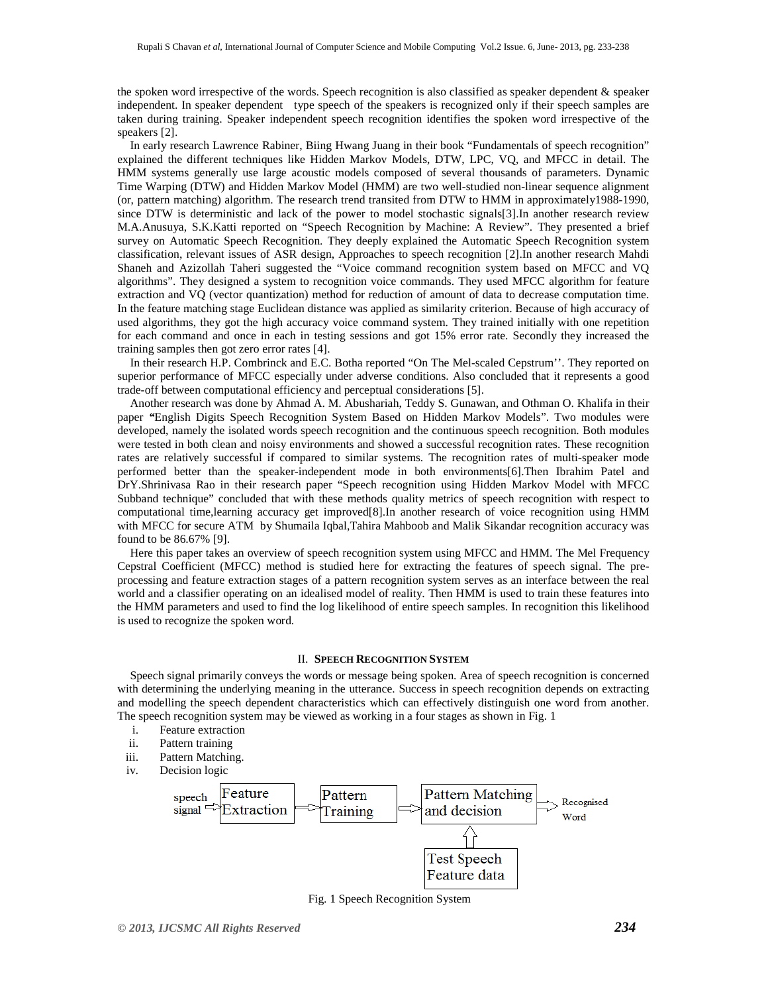the spoken word irrespective of the words. Speech recognition is also classified as speaker dependent & speaker independent. In speaker dependent type speech of the speakers is recognized only if their speech samples are taken during training. Speaker independent speech recognition identifies the spoken word irrespective of the speakers [2].

In early research Lawrence Rabiner, Biing Hwang Juang in their book "Fundamentals of speech recognition" explained the different techniques like Hidden Markov Models, DTW, LPC, VQ, and MFCC in detail. The HMM systems generally use large acoustic models composed of several thousands of parameters. Dynamic Time Warping (DTW) and Hidden Markov Model (HMM) are two well-studied non-linear sequence alignment (or, pattern matching) algorithm. The research trend transited from DTW to HMM in approximately1988-1990, since DTW is deterministic and lack of the power to model stochastic signals[3].In another research review M.A.Anusuya, S.K.Katti reported on "Speech Recognition by Machine: A Review". They presented a brief survey on Automatic Speech Recognition. They deeply explained the Automatic Speech Recognition system classification, relevant issues of ASR design, Approaches to speech recognition [2].In another research Mahdi Shaneh and Azizollah Taheri suggested the "Voice command recognition system based on MFCC and VQ algorithms". They designed a system to recognition voice commands. They used MFCC algorithm for feature extraction and VQ (vector quantization) method for reduction of amount of data to decrease computation time. In the feature matching stage Euclidean distance was applied as similarity criterion. Because of high accuracy of used algorithms, they got the high accuracy voice command system. They trained initially with one repetition for each command and once in each in testing sessions and got 15% error rate. Secondly they increased the training samples then got zero error rates [4].

In their research H.P. Combrinck and E.C. Botha reported "On The Mel-scaled Cepstrum''. They reported on superior performance of MFCC especially under adverse conditions. Also concluded that it represents a good trade-off between computational efficiency and perceptual considerations [5].

Another research was done by Ahmad A. M. Abushariah, Teddy S. Gunawan, and Othman O. Khalifa in their paper *"*English Digits Speech Recognition System Based on Hidden Markov Models". Two modules were developed, namely the isolated words speech recognition and the continuous speech recognition. Both modules were tested in both clean and noisy environments and showed a successful recognition rates. These recognition rates are relatively successful if compared to similar systems. The recognition rates of multi-speaker mode performed better than the speaker-independent mode in both environments[6].Then Ibrahim Patel and DrY.Shrinivasa Rao in their research paper "Speech recognition using Hidden Markov Model with MFCC Subband technique" concluded that with these methods quality metrics of speech recognition with respect to computational time,learning accuracy get improved[8].In another research of voice recognition using HMM with MFCC for secure ATM by Shumaila Iqbal,Tahira Mahboob and Malik Sikandar recognition accuracy was found to be 86.67% [9].

Here this paper takes an overview of speech recognition system using MFCC and HMM. The Mel Frequency Cepstral Coefficient (MFCC) method is studied here for extracting the features of speech signal. The preprocessing and feature extraction stages of a pattern recognition system serves as an interface between the real world and a classifier operating on an idealised model of reality. Then HMM is used to train these features into the HMM parameters and used to find the log likelihood of entire speech samples. In recognition this likelihood is used to recognize the spoken word.

#### II. **SPEECH RECOGNITION SYSTEM**

Speech signal primarily conveys the words or message being spoken. Area of speech recognition is concerned with determining the underlying meaning in the utterance. Success in speech recognition depends on extracting and modelling the speech dependent characteristics which can effectively distinguish one word from another. The speech recognition system may be viewed as working in a four stages as shown in Fig. 1

- i. Feature extraction
- ii. Pattern training
- iii. Pattern Matching.
- iv. Decision logic



Fig. 1 Speech Recognition System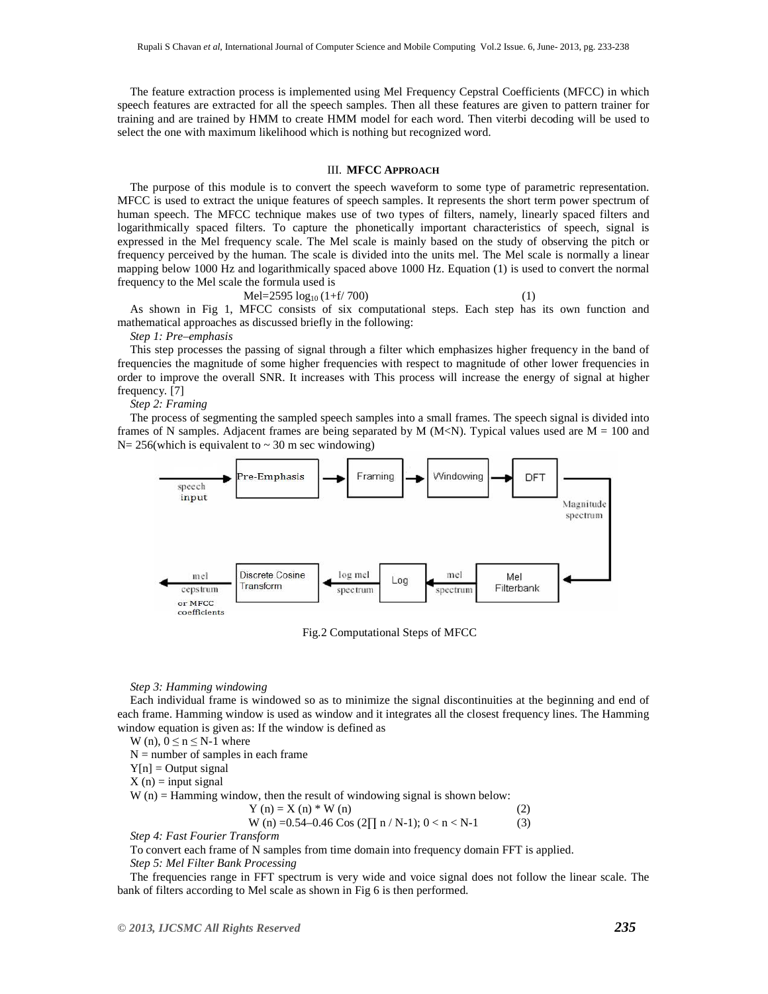The feature extraction process is implemented using Mel Frequency Cepstral Coefficients (MFCC) in which speech features are extracted for all the speech samples. Then all these features are given to pattern trainer for training and are trained by HMM to create HMM model for each word. Then viterbi decoding will be used to select the one with maximum likelihood which is nothing but recognized word.

# III. **MFCC APPROACH**

The purpose of this module is to convert the speech waveform to some type of parametric representation. MFCC is used to extract the unique features of speech samples. It represents the short term power spectrum of human speech. The MFCC technique makes use of two types of filters, namely, linearly spaced filters and logarithmically spaced filters. To capture the phonetically important characteristics of speech, signal is expressed in the Mel frequency scale. The Mel scale is mainly based on the study of observing the pitch or frequency perceived by the human. The scale is divided into the units mel. The Mel scale is normally a linear mapping below 1000 Hz and logarithmically spaced above 1000 Hz. Equation (1) is used to convert the normal frequency to the Mel scale the formula used is

$$
Mel = 2595 log10 (1+f/700)
$$
 (1)

As shown in Fig 1, MFCC consists of six computational steps. Each step has its own function and mathematical approaches as discussed briefly in the following:

*Step 1: Pre–emphasis* 

This step processes the passing of signal through a filter which emphasizes higher frequency in the band of frequencies the magnitude of some higher frequencies with respect to magnitude of other lower frequencies in order to improve the overall SNR. It increases with This process will increase the energy of signal at higher frequency. [7]

*Step 2: Framing* 

The process of segmenting the sampled speech samples into a small frames. The speech signal is divided into frames of N samples. Adjacent frames are being separated by M  $(M< N)$ . Typical values used are M = 100 and  $N= 256$ (which is equivalent to  $\sim 30$  m sec windowing)



Fig.2 Computational Steps of MFCC

#### *Step 3: Hamming windowing*

Each individual frame is windowed so as to minimize the signal discontinuities at the beginning and end of each frame. Hamming window is used as window and it integrates all the closest frequency lines. The Hamming window equation is given as: If the window is defined as

W (n),  $0 \le n \le N-1$  where

 $N =$  number of samples in each frame

 $Y[n] =$  Output signal

 $X(n) = input signal$ 

 $W(n) =$  Hamming window, then the result of windowing signal is shown below:

Y (n) = X (n) \* W (n) (2)  
W (n) =0.54-0.46 Cos (2
$$
\prod
$$
 n / N-1); 0 < n < N-1 (3)

*Step 4: Fast Fourier Transform* 

To convert each frame of N samples from time domain into frequency domain FFT is applied. *Step 5: Mel Filter Bank Processing* 

The frequencies range in FFT spectrum is very wide and voice signal does not follow the linear scale. The bank of filters according to Mel scale as shown in Fig 6 is then performed.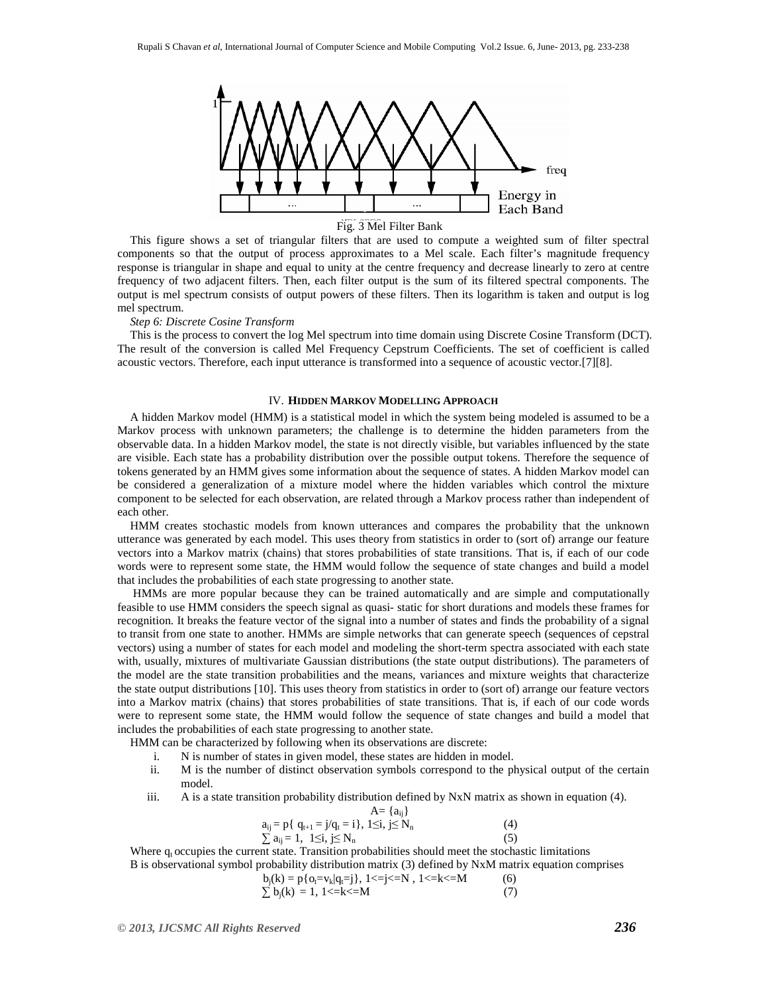

Fig. 3 Mel Filter Bank

This figure shows a set of triangular filters that are used to compute a weighted sum of filter spectral components so that the output of process approximates to a Mel scale. Each filter's magnitude frequency response is triangular in shape and equal to unity at the centre frequency and decrease linearly to zero at centre frequency of two adjacent filters. Then, each filter output is the sum of its filtered spectral components. The output is mel spectrum consists of output powers of these filters. Then its logarithm is taken and output is log mel spectrum.

#### *Step 6: Discrete Cosine Transform*

This is the process to convert the log Mel spectrum into time domain using Discrete Cosine Transform (DCT). The result of the conversion is called Mel Frequency Cepstrum Coefficients. The set of coefficient is called acoustic vectors. Therefore, each input utterance is transformed into a sequence of acoustic vector.[7][8].

# IV. **HIDDEN MARKOV MODELLING APPROACH**

A hidden Markov model (HMM) is a statistical model in which the system being modeled is assumed to be a Markov process with unknown parameters; the challenge is to determine the hidden parameters from the observable data. In a hidden Markov model, the state is not directly visible, but variables influenced by the state are visible. Each state has a probability distribution over the possible output tokens. Therefore the sequence of tokens generated by an HMM gives some information about the sequence of states. A hidden Markov model can be considered a generalization of a mixture model where the hidden variables which control the mixture component to be selected for each observation, are related through a Markov process rather than independent of each other.

HMM creates stochastic models from known utterances and compares the probability that the unknown utterance was generated by each model. This uses theory from statistics in order to (sort of) arrange our feature vectors into a Markov matrix (chains) that stores probabilities of state transitions. That is, if each of our code words were to represent some state, the HMM would follow the sequence of state changes and build a model that includes the probabilities of each state progressing to another state.

 HMMs are more popular because they can be trained automatically and are simple and computationally feasible to use HMM considers the speech signal as quasi- static for short durations and models these frames for recognition. It breaks the feature vector of the signal into a number of states and finds the probability of a signal to transit from one state to another. HMMs are simple networks that can generate speech (sequences of cepstral vectors) using a number of states for each model and modeling the short-term spectra associated with each state with, usually, mixtures of multivariate Gaussian distributions (the state output distributions). The parameters of the model are the state transition probabilities and the means, variances and mixture weights that characterize the state output distributions [10]. This uses theory from statistics in order to (sort of) arrange our feature vectors into a Markov matrix (chains) that stores probabilities of state transitions. That is, if each of our code words were to represent some state, the HMM would follow the sequence of state changes and build a model that includes the probabilities of each state progressing to another state.

HMM can be characterized by following when its observations are discrete:

i. N is number of states in given model, these states are hidden in model.

- ii. M is the number of distinct observation symbols correspond to the physical output of the certain model.
- iii. A is a state transition probability distribution defined by NxN matrix as shown in equation (4).

$$
A = \{a_{ij}\}\
$$
  
\n
$$
a_{ij} = p\{q_{t+1} = j/q_t = i\}, \ 1 \le i, \ j \le N_n
$$
  
\n
$$
\sum a_{ij} = 1, \ 1 \le i, \ j \le N_n
$$
  
\n(4)

Where q<sub>t</sub> occupies the current state. Transition probabilities should meet the stochastic limitations B is observational symbol probability distribution matrix (3) defined by NxM matrix equation comprises

$$
b_j(k) = p\{o_i = v_k|q_i = j\}, 1 < j < N, 1 < k < N
$$
\n
$$
\sum b_j(k) = 1, 1 < k < N
$$
\n(6)\n(7)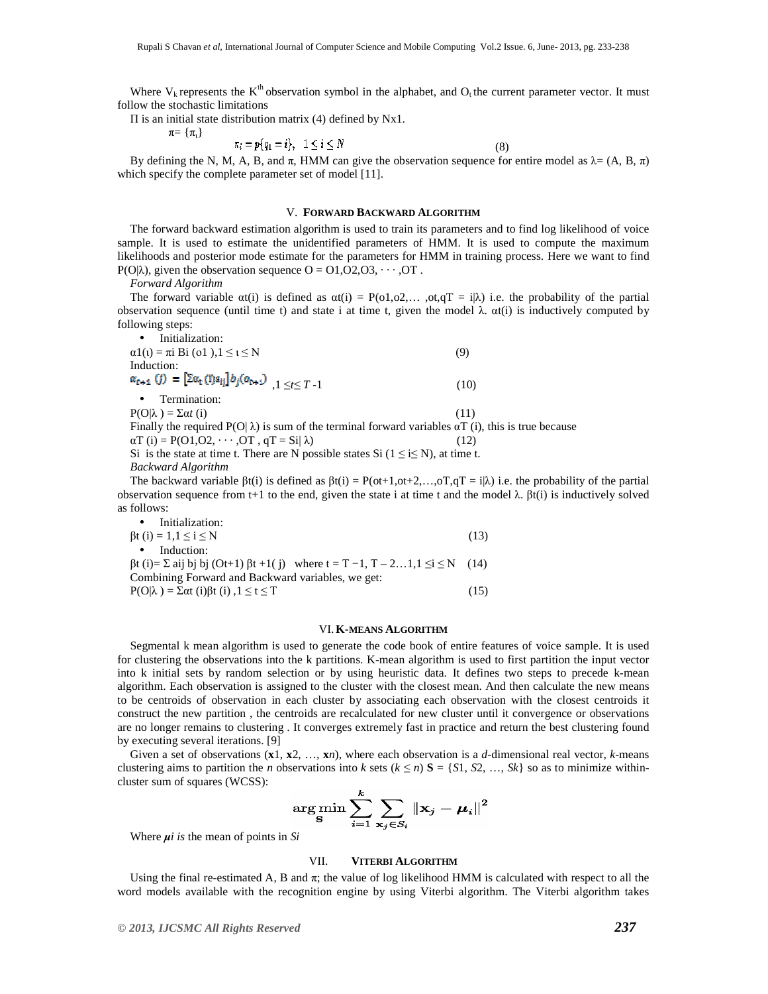Where  $V_k$  represents the  $K^{th}$  observation symbol in the alphabet, and O<sub>t</sub> the current parameter vector. It must follow the stochastic limitations

 $\Pi$  is an initial state distribution matrix (4) defined by Nx1.

$$
\pi\!\!=\,\{\pi_{\!\scriptscriptstyle 1}\}
$$

$$
\pi_i = p\{q_1 = i\}, \quad 1 \le i \le N
$$
\n(8)

By defining the N, M, A, B, and  $\pi$ , HMM can give the observation sequence for entire model as  $\lambda = (A, B, \pi)$ which specify the complete parameter set of model [11].

# V. **FORWARD BACKWARD ALGORITHM**

The forward backward estimation algorithm is used to train its parameters and to find log likelihood of voice sample. It is used to estimate the unidentified parameters of HMM. It is used to compute the maximum likelihoods and posterior mode estimate for the parameters for HMM in training process. Here we want to find P(O| $\lambda$ ), given the observation sequence O = O1, O2, O3,  $\cdots$ , OT.

*Forward Algorithm* 

The forward variable  $\alpha(i)$  is defined as  $\alpha(i) = P(\alpha1, \alpha2, \ldots, \alpha_i, \alpha_i) = i|\lambda|$  i.e. the probability of the partial observation sequence (until time t) and state i at time t, given the model λ. αt(i) is inductively computed by following steps:

| Initialization:<br>$\bullet$                                                                                              |      |  |
|---------------------------------------------------------------------------------------------------------------------------|------|--|
| $\alpha$ 1(t) = $\pi$ i Bi (o1), 1 $\leq t \leq N$                                                                        | (9)  |  |
| Induction:                                                                                                                |      |  |
| $\alpha_{k+1} (j) = [\sum \alpha_k (i) a_{ij}] b_j (o_{k+1})$ $(1 \leq t \leq T-1)$                                       | (10) |  |
| Termination:<br>$\bullet$                                                                                                 |      |  |
| $P(O \lambda) = \sum \alpha t(i)$                                                                                         | (11) |  |
| Finally the required $P(O \lambda)$ is sum of the terminal forward variables $\alpha T$ (i), this is true because         |      |  |
| $\alpha T$ (i) = P(O1,O2, $\cdots$ ,OT, $qT = Si \lambda$ )                                                               | (12) |  |
| Si is the state at time t. There are N possible states Si $(1 \le i \le N)$ , at time t.                                  |      |  |
| <b>Backward Algorithm</b>                                                                                                 |      |  |
| The heckward variable $R(f)$ is defined as $R(f) = D(\alpha+1, \alpha+2) = \alpha T \alpha T - i(1)$ i.e. the probability |      |  |

The backward variable  $\beta t(i)$  is defined as  $\beta t(i) = P(\text{ot}+1,\text{ot}+2,\ldots,\text{or} T, T = i|\lambda)$  i.e. the probability of the partial observation sequence from t+1 to the end, given the state i at time t and the model  $λ$ . βt(i) is inductively solved as follows:

| • Initialization:                                                                                      |      |  |
|--------------------------------------------------------------------------------------------------------|------|--|
| $\beta t$ (i) = 1,1 $\le i \le N$                                                                      | (13) |  |
| Induction:<br>$\bullet$                                                                                |      |  |
| $\beta t$ (i)= $\Sigma$ aij bj bj (Ot+1) $\beta t$ +1(j) where $t = T - 1, T - 21, 1 \le i \le N$ (14) |      |  |
| Combining Forward and Backward variables, we get:                                                      |      |  |
| $P(O \lambda) = \Sigma \alpha t$ (i) $\beta t$ (i) $, 1 \le t \le T$                                   | (15) |  |

#### VI.**K-MEANS ALGORITHM**

Segmental k mean algorithm is used to generate the code book of entire features of voice sample. It is used for clustering the observations into the k partitions. K-mean algorithm is used to first partition the input vector into k initial sets by random selection or by using heuristic data. It defines two steps to precede k-mean algorithm. Each observation is assigned to the cluster with the closest mean. And then calculate the new means to be centroids of observation in each cluster by associating each observation with the closest centroids it construct the new partition , the centroids are recalculated for new cluster until it convergence or observations are no longer remains to clustering . It converges extremely fast in practice and return the best clustering found by executing several iterations. [9]

Given a set of observations  $(\mathbf{x}_1, \mathbf{x}_2, ..., \mathbf{x}_n)$ , where each observation is a *d*-dimensional real vector, *k*-means clustering aims to partition the *n* observations into *k* sets  $(k \le n)$  **S** = {*S*1, *S*2, ..., *Sk*} so as to minimize withincluster sum of squares (WCSS):

$$
\argmin_{\mathbf{S}} \sum_{i=1}^{k} \sum_{\mathbf{x}_{j} \in S_{i}} \left\| \mathbf{x}_{j} - \boldsymbol{\mu}_{i} \right\|^{2}
$$

Where *µi is* the mean of points in *Si*

# VII. **VITERBI ALGORITHM**

Using the final re-estimated A, B and  $\pi$ ; the value of log likelihood HMM is calculated with respect to all the word models available with the recognition engine by using Viterbi algorithm. The Viterbi algorithm takes